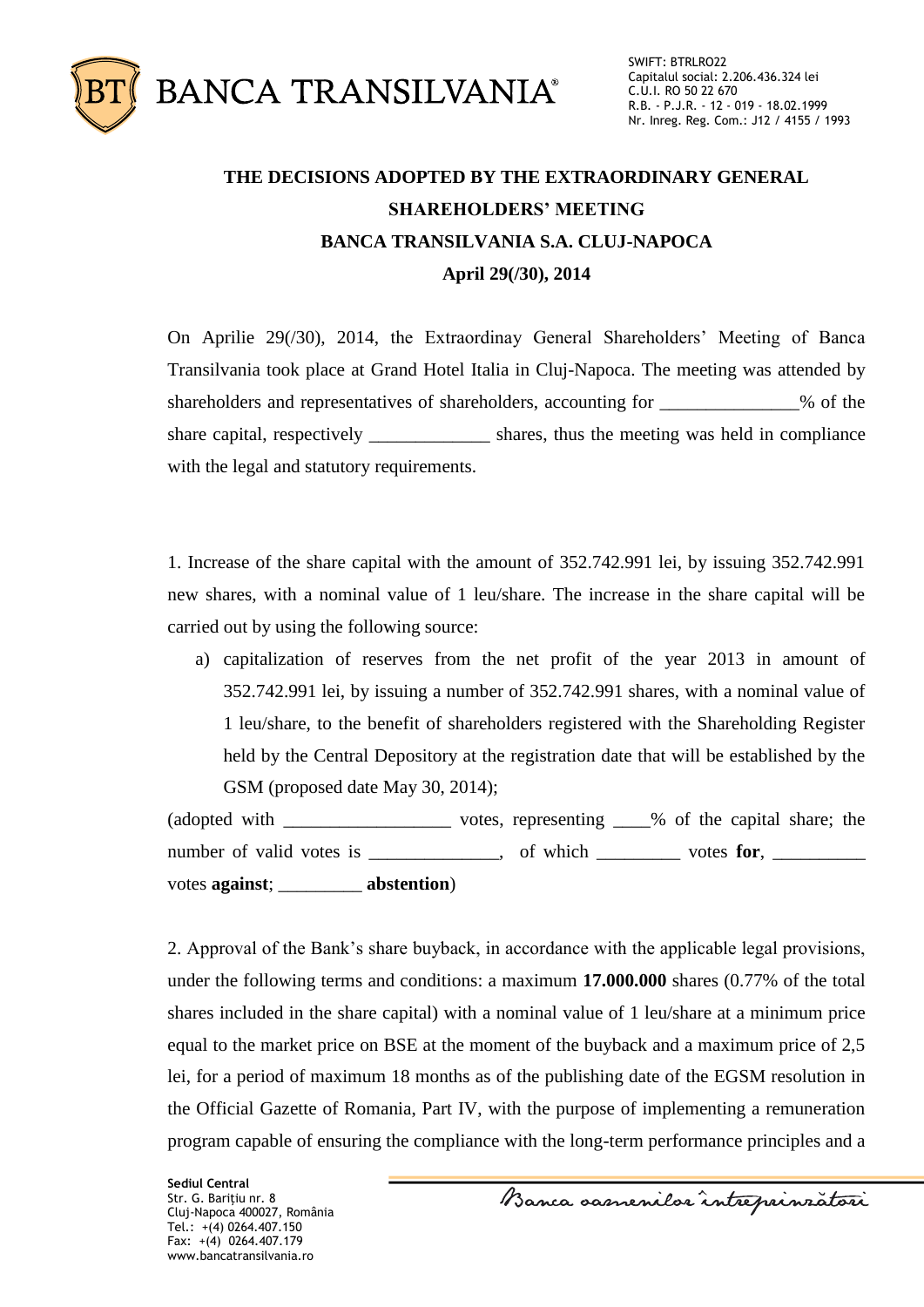

## **THE DECISIONS ADOPTED BY THE EXTRAORDINARY GENERAL SHAREHOLDERS' MEETING BANCA TRANSILVANIA S.A. CLUJ-NAPOCA April 29(/30), 2014**

On Aprilie 29(/30), 2014, the Extraordinay General Shareholders' Meeting of Banca Transilvania took place at Grand Hotel Italia in Cluj-Napoca. The meeting was attended by shareholders and representatives of shareholders, accounting for \_\_\_\_\_\_\_\_\_\_\_\_% of the share capital, respectively shares, thus the meeting was held in compliance with the legal and statutory requirements.

1. Increase of the share capital with the amount of 352.742.991 lei, by issuing 352.742.991 new shares, with a nominal value of 1 leu/share. The increase in the share capital will be carried out by using the following source:

a) capitalization of reserves from the net profit of the year 2013 in amount of 352.742.991 lei, by issuing a number of 352.742.991 shares, with a nominal value of 1 leu/share, to the benefit of shareholders registered with the Shareholding Register held by the Central Depository at the registration date that will be established by the GSM (proposed date May 30, 2014);

(adopted with \_\_\_\_\_\_\_\_\_\_\_\_\_\_\_\_\_\_ votes, representing \_\_\_\_% of the capital share; the number of valid votes is \_\_\_\_\_\_\_\_\_, of which \_\_\_\_\_\_\_ votes for, \_\_\_\_\_\_\_ votes **against**; \_\_\_\_\_\_\_\_\_ **abstention**)

2. Approval of the Bank's share buyback, in accordance with the applicable legal provisions, under the following terms and conditions: a maximum **17.000.000** shares (0.77% of the total shares included in the share capital) with a nominal value of 1 leu/share at a minimum price equal to the market price on BSE at the moment of the buyback and a maximum price of 2,5 lei, for a period of maximum 18 months as of the publishing date of the EGSM resolution in the Official Gazette of Romania, Part IV, with the purpose of implementing a remuneration program capable of ensuring the compliance with the long-term performance principles and a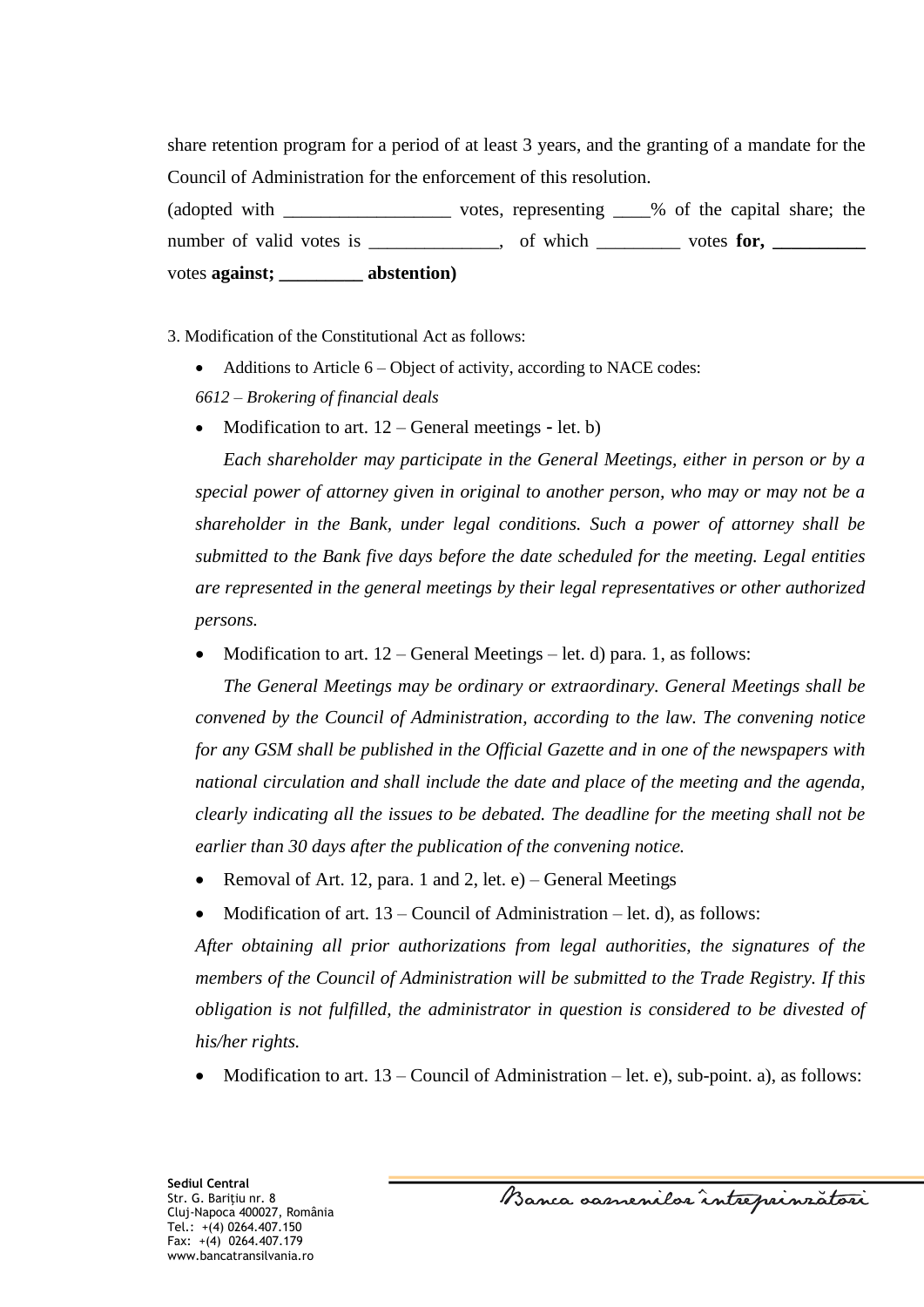share retention program for a period of at least 3 years, and the granting of a mandate for the Council of Administration for the enforcement of this resolution.

(adopted with \_\_\_\_\_\_\_\_\_\_\_\_\_\_\_\_\_\_\_\_\_\_\_ votes, representing \_\_\_\_% of the capital share; the number of valid votes is \_\_\_\_\_\_\_\_\_\_, of which \_\_\_\_\_\_\_ votes for, \_\_\_\_\_\_\_\_ votes **against; \_\_\_\_\_\_\_\_\_ abstention)**

3. Modification of the Constitutional Act as follows:

- Additions to Article 6 Object of activity, according to NACE codes:
- *6612 – Brokering of financial deals*
- Modification to art. 12 General meetings let. b)

*Each shareholder may participate in the General Meetings, either in person or by a special power of attorney given in original to another person, who may or may not be a shareholder in the Bank, under legal conditions. Such a power of attorney shall be submitted to the Bank five days before the date scheduled for the meeting. Legal entities are represented in the general meetings by their legal representatives or other authorized persons.*

• Modification to art.  $12 - \text{General Meeting} - \text{let. d}$  para. 1, as follows:

*The General Meetings may be ordinary or extraordinary. General Meetings shall be convened by the Council of Administration, according to the law. The convening notice for any GSM shall be published in the Official Gazette and in one of the newspapers with national circulation and shall include the date and place of the meeting and the agenda, clearly indicating all the issues to be debated. The deadline for the meeting shall not be earlier than 30 days after the publication of the convening notice.*

- Removal of Art. 12, para. 1 and 2, let.  $e$ ) General Meetings
- Modification of art. 13 Council of Administration let. d), as follows:

*After obtaining all prior authorizations from legal authorities, the signatures of the members of the Council of Administration will be submitted to the Trade Registry. If this obligation is not fulfilled, the administrator in question is considered to be divested of his/her rights.* 

• Modification to art.  $13$  – Council of Administration – let. e), sub-point. a), as follows:

Banca samenilor intreprinzatori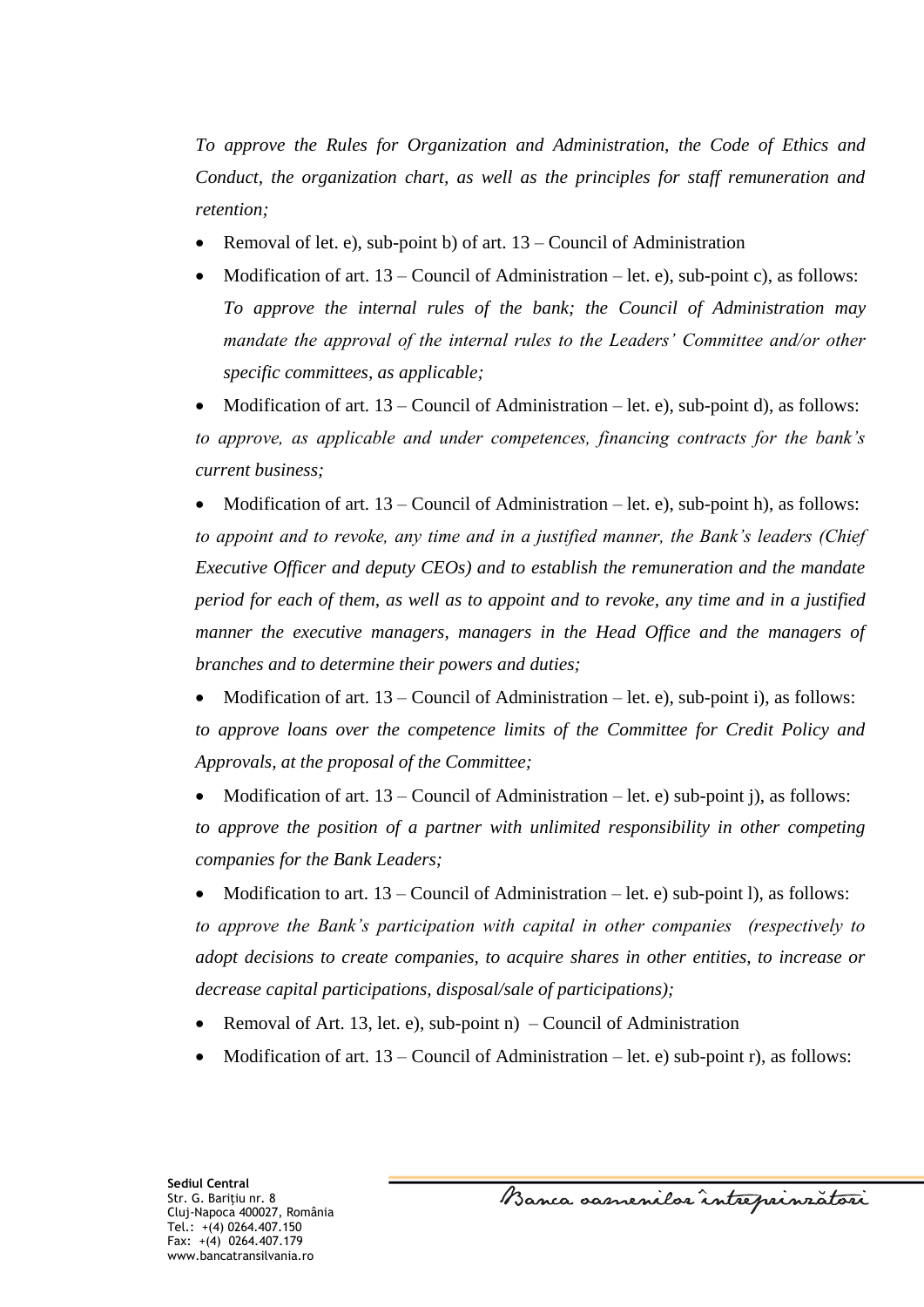*To approve the Rules for Organization and Administration, the Code of Ethics and Conduct, the organization chart, as well as the principles for staff remuneration and retention;*

- Removal of let. e), sub-point b) of art. 13 Council of Administration
- Modification of art.  $13 -$ Council of Administration let. e), sub-point c), as follows: *To approve the internal rules of the bank; the Council of Administration may mandate the approval of the internal rules to the Leaders' Committee and/or other specific committees, as applicable;*

 Modification of art. 13 – Council of Administration – let. e), sub-point d), as follows: *to approve, as applicable and under competences, financing contracts for the bank's current business;*

 Modification of art. 13 – Council of Administration – let. e), sub-point h), as follows: *to appoint and to revoke, any time and in a justified manner, the Bank's leaders (Chief Executive Officer and deputy CEOs) and to establish the remuneration and the mandate period for each of them, as well as to appoint and to revoke, any time and in a justified manner the executive managers, managers in the Head Office and the managers of branches and to determine their powers and duties;*

 Modification of art. 13 – Council of Administration – let. e), sub-point i), as follows: *to approve loans over the competence limits of the Committee for Credit Policy and Approvals, at the proposal of the Committee;*

Modification of art.  $13$  – Council of Administration – let. e) sub-point j), as follows: *to approve the position of a partner with unlimited responsibility in other competing companies for the Bank Leaders;*

Modification to art.  $13$  – Council of Administration – let. e) sub-point l), as follows: *to approve the Bank's participation with capital in other companies (respectively to adopt decisions to create companies, to acquire shares in other entities, to increase or decrease capital participations, disposal/sale of participations);*

- Removal of Art. 13, let. e), sub-point  $n$ ) Council of Administration
- Modification of art. 13 Council of Administration let. e) sub-point r), as follows:

Banca samenilor intreprinzatori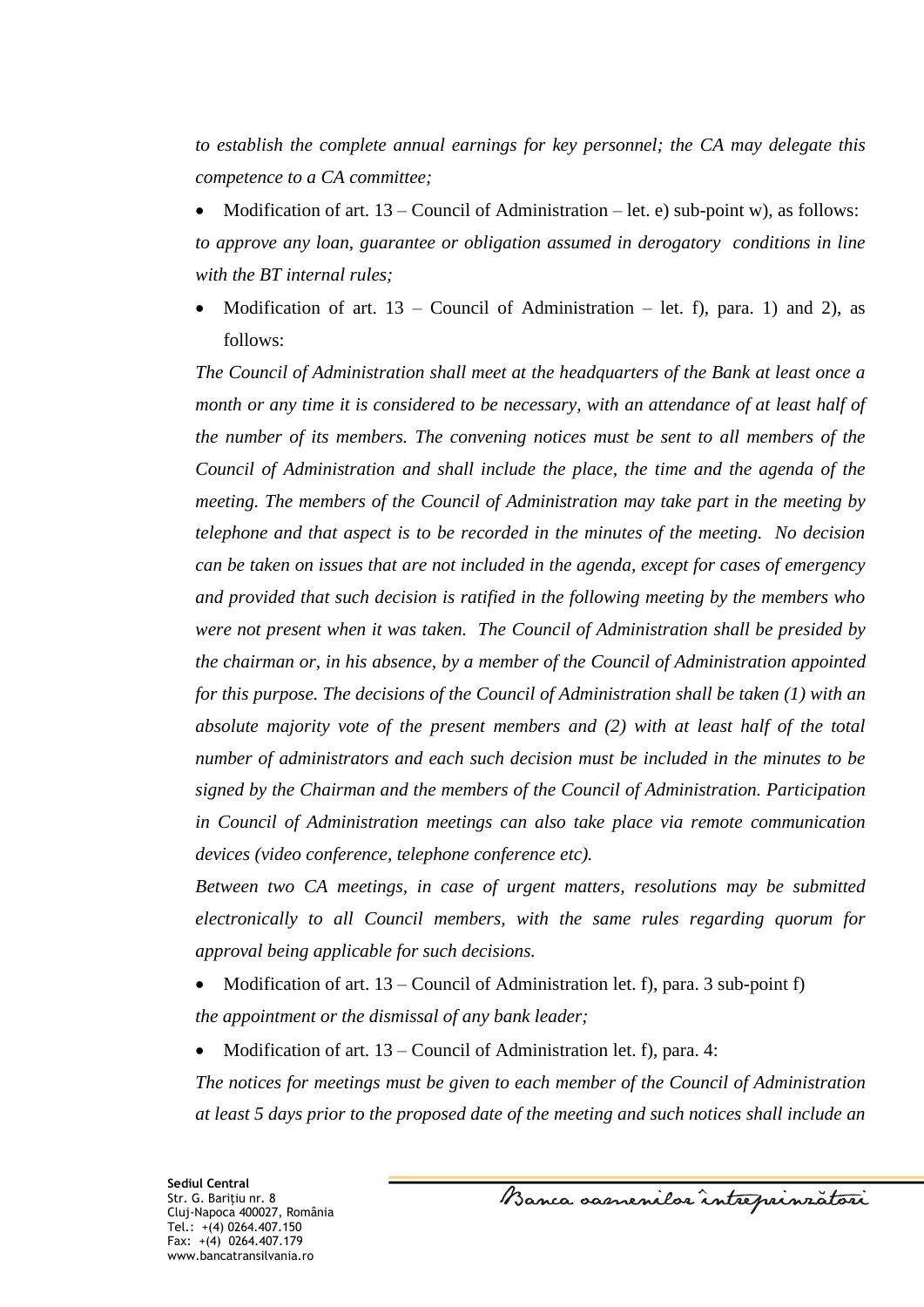*to establish the complete annual earnings for key personnel; the CA may delegate this competence to a CA committee;*

Modification of art.  $13$  – Council of Administration – let. e) sub-point w), as follows: *to approve any loan, guarantee or obligation assumed in derogatory conditions in line with the BT internal rules;* 

Modification of art.  $13$  – Council of Administration – let. f), para. 1) and 2), as follows:

*The Council of Administration shall meet at the headquarters of the Bank at least once a month or any time it is considered to be necessary, with an attendance of at least half of the number of its members. The convening notices must be sent to all members of the Council of Administration and shall include the place, the time and the agenda of the meeting. The members of the Council of Administration may take part in the meeting by telephone and that aspect is to be recorded in the minutes of the meeting. No decision can be taken on issues that are not included in the agenda, except for cases of emergency and provided that such decision is ratified in the following meeting by the members who were not present when it was taken. The Council of Administration shall be presided by the chairman or, in his absence, by a member of the Council of Administration appointed for this purpose. The decisions of the Council of Administration shall be taken (1) with an absolute majority vote of the present members and (2) with at least half of the total number of administrators and each such decision must be included in the minutes to be signed by the Chairman and the members of the Council of Administration. Participation in Council of Administration meetings can also take place via remote communication devices (video conference, telephone conference etc).* 

*Between two CA meetings, in case of urgent matters, resolutions may be submitted electronically to all Council members, with the same rules regarding quorum for approval being applicable for such decisions.*

- Modification of art.  $13$  Council of Administration let. f), para. 3 sub-point f) *the appointment or the dismissal of any bank leader;*
- Modification of art. 13 Council of Administration let. f), para. 4:

*The notices for meetings must be given to each member of the Council of Administration at least 5 days prior to the proposed date of the meeting and such notices shall include an*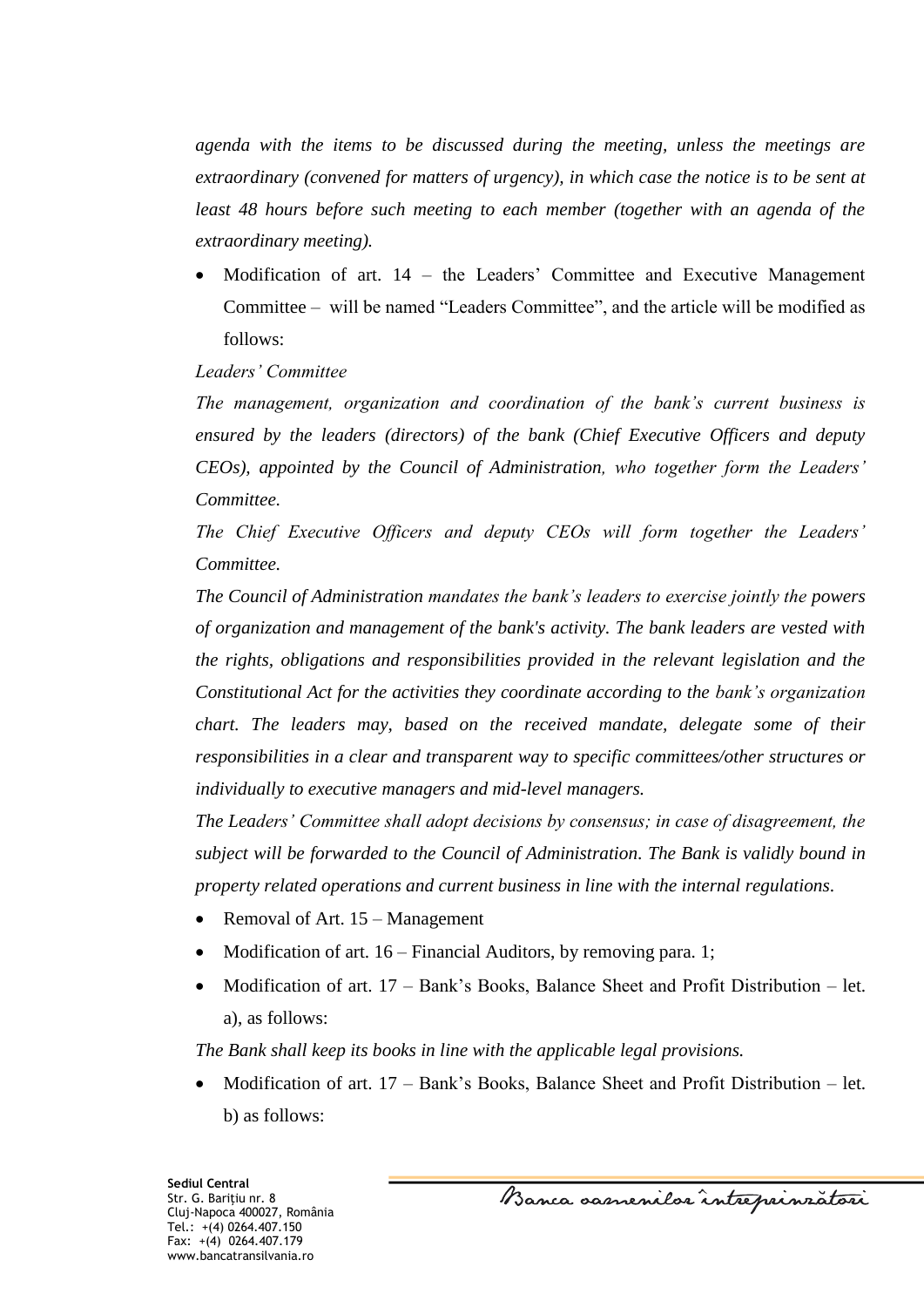*agenda with the items to be discussed during the meeting, unless the meetings are extraordinary (convened for matters of urgency), in which case the notice is to be sent at least 48 hours before such meeting to each member (together with an agenda of the extraordinary meeting).*

 Modification of art. 14 – the Leaders' Committee and Executive Management Committee – will be named "Leaders Committee", and the article will be modified as follows:

## *Leaders' Committee*

*The management, organization and coordination of the bank's current business is ensured by the leaders (directors) of the bank (Chief Executive Officers and deputy CEOs), appointed by the Council of Administration, who together form the Leaders' Committee.* 

*The Chief Executive Officers and deputy CEOs will form together the Leaders' Committee.* 

*The Council of Administration mandates the bank's leaders to exercise jointly the powers of organization and management of the bank's activity. The bank leaders are vested with the rights, obligations and responsibilities provided in the relevant legislation and the Constitutional Act for the activities they coordinate according to the bank's organization chart. The leaders may, based on the received mandate, delegate some of their responsibilities in a clear and transparent way to specific committees/other structures or individually to executive managers and mid-level managers.*

*The Leaders' Committee shall adopt decisions by consensus; in case of disagreement, the subject will be forwarded to the Council of Administration. The Bank is validly bound in property related operations and current business in line with the internal regulations.*

- Removal of Art. 15 Management
- Modification of art. 16 Financial Auditors, by removing para. 1;
- Modification of art. 17 Bank's Books, Balance Sheet and Profit Distribution let. a), as follows:

*The Bank shall keep its books in line with the applicable legal provisions.*

 Modification of art. 17 – Bank's Books, Balance Sheet and Profit Distribution – let. b) as follows:

**Sediul Central** Str. G. Bariţiu nr. 8 Cluj-Napoca 400027, România Tel.: +(4) 0264.407.150 Fax: +(4) 0264.407.179 www.bancatransilvania.ro

Banca samenilor intreprinzatori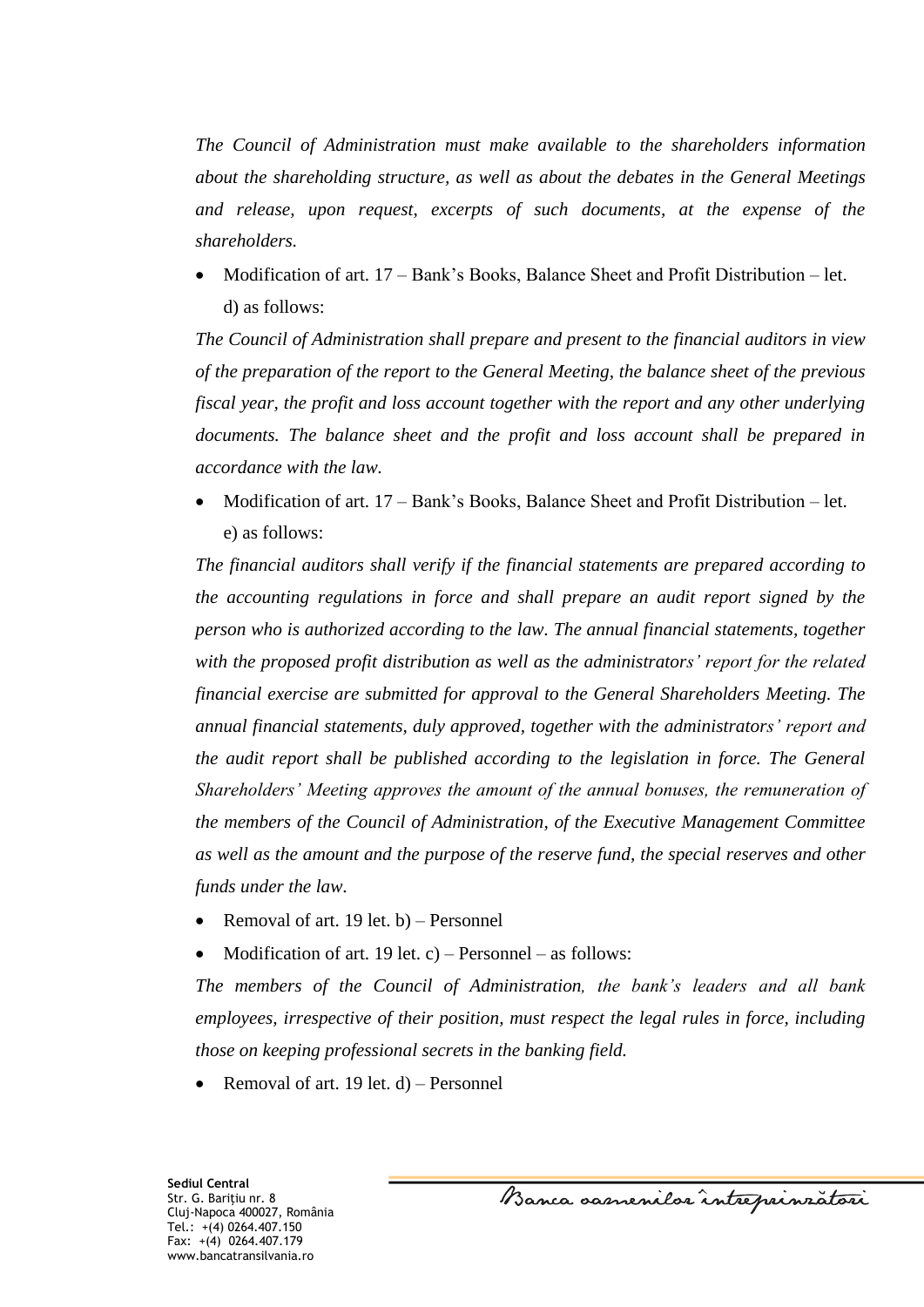*The Council of Administration must make available to the shareholders information about the shareholding structure, as well as about the debates in the General Meetings and release, upon request, excerpts of such documents, at the expense of the shareholders.*

 Modification of art. 17 – Bank's Books, Balance Sheet and Profit Distribution – let. d) as follows:

*The Council of Administration shall prepare and present to the financial auditors in view of the preparation of the report to the General Meeting, the balance sheet of the previous fiscal year, the profit and loss account together with the report and any other underlying documents. The balance sheet and the profit and loss account shall be prepared in accordance with the law.*

 Modification of art. 17 – Bank's Books, Balance Sheet and Profit Distribution – let. e) as follows:

*The financial auditors shall verify if the financial statements are prepared according to the accounting regulations in force and shall prepare an audit report signed by the person who is authorized according to the law. The annual financial statements, together with the proposed profit distribution as well as the administrators' report for the related financial exercise are submitted for approval to the General Shareholders Meeting. The annual financial statements, duly approved, together with the administrators' report and the audit report shall be published according to the legislation in force. The General Shareholders' Meeting approves the amount of the annual bonuses, the remuneration of the members of the Council of Administration, of the Executive Management Committee as well as the amount and the purpose of the reserve fund, the special reserves and other funds under the law.*

- Removal of art. 19 let. b) Personnel
- Modification of art. 19 let. c) Personnel as follows:

*The members of the Council of Administration, the bank's leaders and all bank employees, irrespective of their position, must respect the legal rules in force, including those on keeping professional secrets in the banking field.* 

Removal of art. 19 let. d) – Personnel

Banca samenilor intreprinzatori